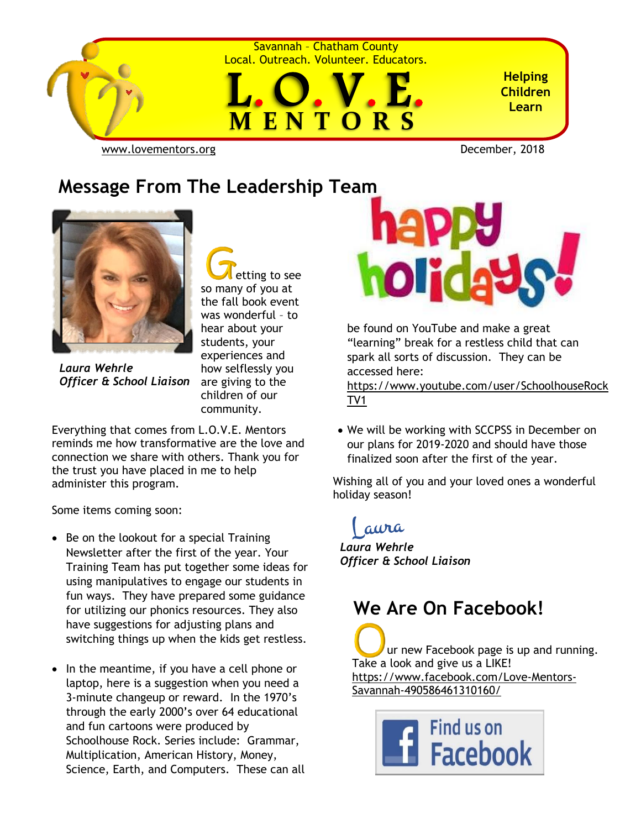

Savannah – Chatham County Local. Outreach. Volunteer. Educators.



**Helping Children Learn**

[www.lovementors.org](http://www.lovementors.org/)<br>
December, 2018

### **Message From The Leadership Team**



*Laura Wehrle Officer & School Liaison*

 etting to see so many of you at the fall book event was wonderful – to hear about your students, your experiences and how selflessly you are giving to the children of our community.

Everything that comes from L.O.V.E. Mentors reminds me how transformative are the love and connection we share with others. Thank you for the trust you have placed in me to help administer this program.

Some items coming soon:

- Be on the lookout for a special Training Newsletter after the first of the year. Your Training Team has put together some ideas for using manipulatives to engage our students in fun ways. They have prepared some guidance for utilizing our phonics resources. They also have suggestions for adjusting plans and switching things up when the kids get restless.
- In the meantime, if you have a cell phone or laptop, here is a suggestion when you need a 3-minute changeup or reward. In the 1970's through the early 2000's over 64 educational and fun cartoons were produced by Schoolhouse Rock. Series include: Grammar, Multiplication, American History, Money, Science, Earth, and Computers. These can all



be found on YouTube and make a great "learning" break for a restless child that can spark all sorts of discussion. They can be accessed here:

[https://www.youtube.com/user/SchoolhouseRock](https://www.youtube.com/user/SchoolhouseRockTV1) [TV1](https://www.youtube.com/user/SchoolhouseRockTV1)

• We will be working with SCCPSS in December on our plans for 2019-2020 and should have those finalized soon after the first of the year.

Wishing all of you and your loved ones a wonderful holiday season!

aura *Laura Wehrle Officer & School Liaison*

### **We Are On Facebook!**

 ur new Facebook page is up and running. Take a look and give us a LIKE! [https://www.facebook.com/Love-Mentors-](https://www.facebook.com/Love-Mentors-Savannah-490586461310160/)[Savannah-490586461310160/](https://www.facebook.com/Love-Mentors-Savannah-490586461310160/)

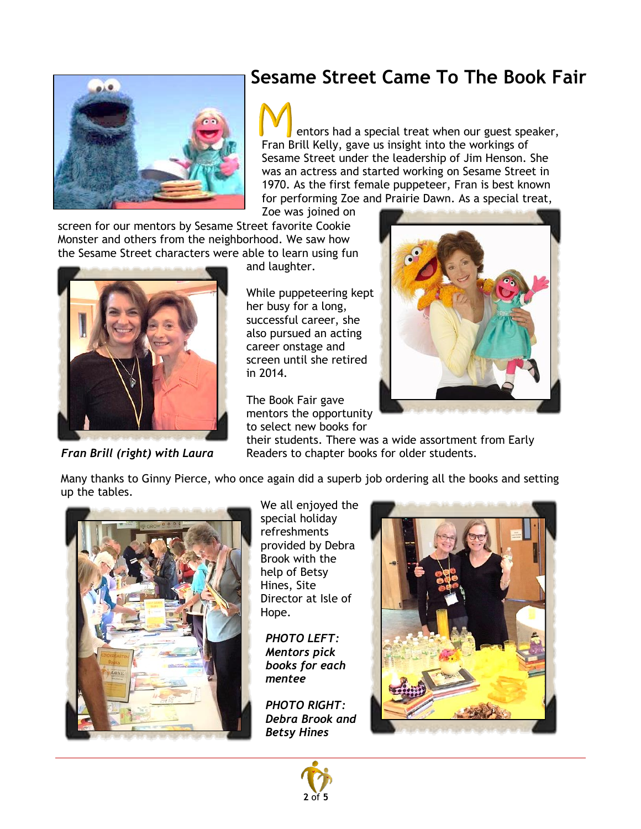### **Sesame Street Came To The Book Fair**



 entors had a special treat when our guest speaker, Fran Brill Kelly, gave us insight into the workings of Sesame Street under the leadership of Jim Henson. She was an actress and started working on Sesame Street in 1970. As the first female puppeteer, Fran is best known for performing Zoe and Prairie Dawn. As a special treat,

Zoe was joined on

screen for our mentors by Sesame Street favorite Cookie Monster and others from the neighborhood. We saw how the Sesame Street characters were able to learn using fun



*Fran Brill (right) with Laura*

and laughter.

While puppeteering kept her busy for a long, successful career, she also pursued an acting career onstage and screen until she retired in 2014.

The Book Fair gave mentors the opportunity to select new books for



their students. There was a wide assortment from Early Readers to chapter books for older students.

Many thanks to Ginny Pierce, who once again did a superb job ordering all the books and setting up the tables.



We all enjoyed the special holiday refreshments provided by Debra Brook with the help of Betsy Hines, Site Director at Isle of Hope.

*PHOTO LEFT: Mentors pick books for each mentee*

*PHOTO RIGHT: Debra Brook and Betsy Hines*



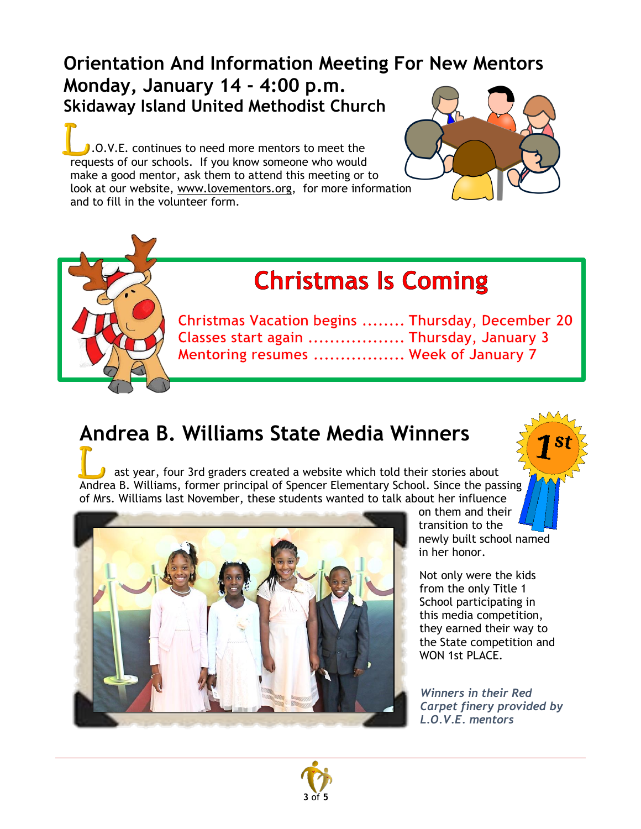#### **Orientation And Information Meeting For New Mentors Monday, January 14 - 4:00 p.m. Skidaway Island United Methodist Church**

 $\Box$ .O.V.E. continues to need more mentors to meet the requests of our schools. If you know someone who would make a good mentor, ask them to attend this meeting or to look at our website, [www.lovementors.org,](http://www.lovementors.org/) for more information and to fill in the volunteer form.





# **Christmas Is Coming**

| Christmas Vacation begins  Thursday, December 20 |  |
|--------------------------------------------------|--|
| Classes start again  Thursday, January 3         |  |
| Mentoring resumes  Week of January 7             |  |

# **Andrea B. Williams State Media Winners**

 ast year, four 3rd graders created a website which told their stories about Andrea B. Williams, former principal of Spencer Elementary School. Since the passing of Mrs. Williams last November, these students wanted to talk about her influence



on them and their transition to the newly built school named in her honor.

Not only were the kids from the only Title 1 School participating in this media competition, they earned their way to the State competition and WON 1st PLACE.

*Winners in their Red Carpet finery provided by L.O.V.E. mentors*

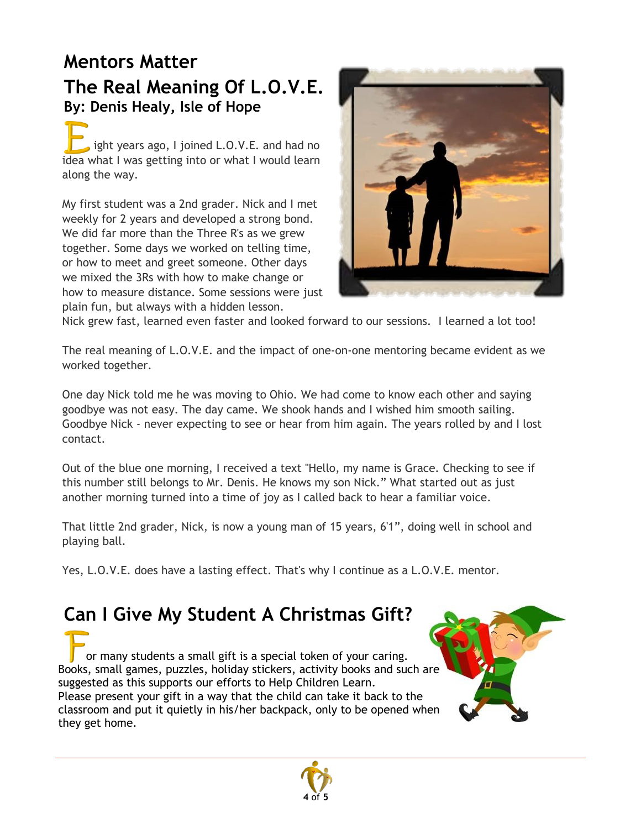### **Mentors Matter The Real Meaning Of L.O.V.E. By: Denis Healy, Isle of Hope**

ight years ago, I joined L.O.V.E. and had no idea what I was getting into or what I would learn along the way.

My first student was a 2nd grader. Nick and I met weekly for 2 years and developed a strong bond. We did far more than the Three R's as we grew together. Some days we worked on telling time, or how to meet and greet someone. Other days we mixed the 3Rs with how to make change or how to measure distance. Some sessions were just plain fun, but always with a hidden lesson.



Nick grew fast, learned even faster and looked forward to our sessions. I learned a lot too!

The real meaning of L.O.V.E. and the impact of one-on-one mentoring became evident as we worked together.

One day Nick told me he was moving to Ohio. We had come to know each other and saying goodbye was not easy. The day came. We shook hands and I wished him smooth sailing. Goodbye Nick - never expecting to see or hear from him again. The years rolled by and I lost contact.

Out of the blue one morning, I received a text "Hello, my name is Grace. Checking to see if this number still belongs to Mr. Denis. He knows my son Nick." What started out as just another morning turned into a time of joy as I called back to hear a familiar voice.

That little 2nd grader, Nick, is now a young man of 15 years, 6'1", doing well in school and playing ball.

Yes, L.O.V.E. does have a lasting effect. That's why I continue as a L.O.V.E. mentor.

### **Can I Give My Student A Christmas Gift?**

 or many students a small gift is a special token of your caring. Books, small games, puzzles, holiday stickers, activity books and such are suggested as this supports our efforts to Help Children Learn. Please present your gift in a way that the child can take it back to the classroom and put it quietly in his/her backpack, only to be opened when they get home.